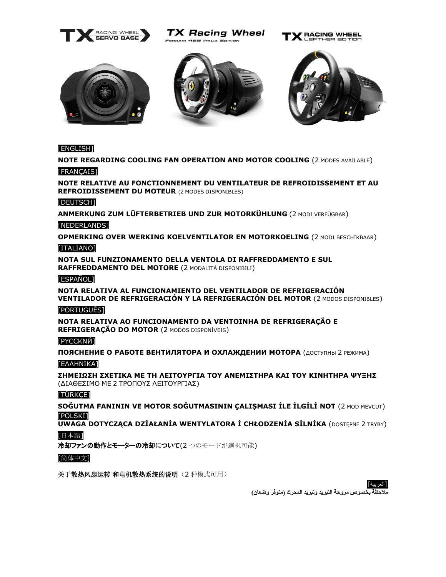

TX Racing Wheel ARI 458 ITALIA EDITION









# [\[ENGLISH\]](#page-1-0)

**[NOTE REGARDING COOLING FAN OPERATION](#page-1-0) AND MOTOR COOLING** (2 MODES AVAILABLE)

# [FRANCAIS]

**[NOTE RELATIVE AU FONCTIONNEMENT DU VENTILATEUR DE REFROIDISSEMENT](#page-2-0) ET AU [REFROIDISSEMENT DU MOTEUR](#page-2-0)** (2 MODES DISPONIBLES)

### [\[DEUTSCH\]](#page-3-0)

**[ANMERKUNG ZUM LÜFTERBETRIEB UND ZUR MOTORKÜHLUNG](#page-3-0)** (2 MODI VERFÜGBAR)

### [\[NEDERLANDS\]](#page-3-1)

**[OPMERKING OVER WERKING KOELVENTILATOR](#page-3-1) EN MOTORKOELING** (2 MODI BESCHIKBAAR)

### [\[ITALIANO\]](#page-5-0)

**[NOTA SUL FUNZIONAMENTO DELLA VENTOLA DI RAFFREDDAMENTO E SUL](#page-5-0)  [RAFFREDDAMENTO DEL MOTORE](#page-5-0)** (2 MODALITÀ DISPONIBILI)

### [\[ESPAÑOL\]](#page-5-1)

**[NOTA RELATIVA AL FUNCIONAMIENTO DEL VENTILADOR DE REFRIGERACIÓN](#page-5-1) [VENTILADOR DE REFRIGERACIÓN Y LA REFRIGERACIÓN DEL MOTOR](#page-5-1)** (2 MODOS DISPONIBLES)

### [\[PORTUGUÊS\]](#page-6-0)

**[NOTA RELATIVA AO FUNCIONAMENTO DA VENTOINHA DE REFRIGERAÇÃO](#page-6-0) E [REFRIGERAÇÃO DO](#page-6-0) MOTOR** (2 MODOS DISPONÍVEIS)

### [\[PYCCKN](#page-8-0)Й]

**ПОЯСНЕНИЕ О РАБОТЕ [ВЕНТИЛЯТОРА](#page-8-0) И ОХЛАЖДЕНИИ МОТОРА** (ДОСТУПНЫ 2 РЕЖИМА) [[ΕΛΛΗΝΙΚΑ](#page-8-1)]

**[ΣΗΜΕΙΩΣΗ ΣΧΕΤΙΚΑ ΜΕ ΤΗ ΛΕΙΤΟΥΡΓΙΑ ΤΟΥ ΑΝΕΜΙΣΤΗΡΑ ΚΑΙ ΤΟΥ ΚΙΝΗΤΗΡΑ ΨΥΞΗΣ](#page-8-1)** (ΔΙΑΘΕΣΙΜΟ ΜΕ 2 ΤΡΟΠΟΥΣ [ΛΕΙΤΟΥΡΓΙΑΣ](#page-8-1))

### [\[TÜRKÇE\]](#page-10-0)

**[SOĞUTMA FANININ VE MOTOR SOĞUTMASININ ÇALIŞMASI İLE İLGİLİ NOT](#page-10-0)** (2 MOD MEVCUT) [\[POLSKI\]](#page-11-0)

**[UWAGA DOTYCZĄCA DZİAŁANİA WENTYLATORA İ CHŁODZENİA SİLNİKA](#page-11-0)** (DOSTĘPNE 2 TRYBY)

# [[日本語](#page-12-0)]

[冷却ファンの動作とモーターの冷却について](#page-12-0)(2つのモードが選択可能)

### [[简体中文](#page-13-0)]

关于散热风扇运转[和电机散热系统的说明\(](#page-13-0)2 种模式可用)



**[مالحظة بخصوص مروحة التبريد وتبريد المحرك](#page-14-0) )متوفر وضعان(**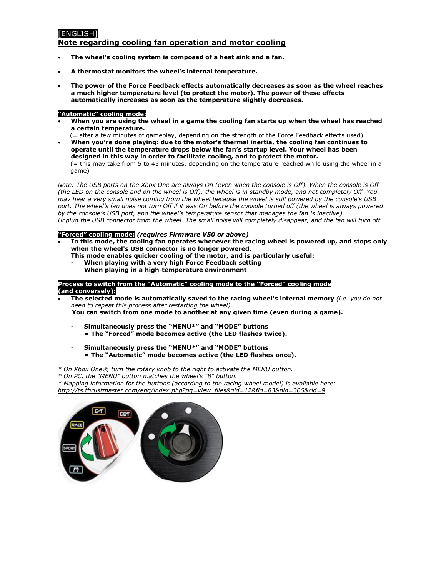# <span id="page-1-0"></span>**[ENGLISH]**

### **Note regarding cooling fan operation and motor cooling**

- **The wheel's cooling system is composed of a heat sink and a fan.**
- **A thermostat monitors the wheel's internal temperature.**
- **The power of the Force Feedback effects automatically decreases as soon as the wheel reaches a much higher temperature level (to protect the motor). The power of these effects automatically increases as soon as the temperature slightly decreases.**

### **"Automatic" cooling mode:**

- **When you are using the wheel in a game the cooling fan starts up when the wheel has reached a certain temperature.**
- (= after a few minutes of gameplay, depending on the strength of the Force Feedback effects used) • **When you're done playing: due to the motor's thermal inertia, the cooling fan continues to operate until the temperature drops below the fan's startup level. Your wheel has been designed in this way in order to facilitate cooling, and to protect the motor.**

(= this may take from 5 to 45 minutes, depending on the temperature reached while using the wheel in a game)

*Note: The USB ports on the Xbox One are always On (even when the console is Off). When the console is Off (the LED on the console and on the wheel is Off), the wheel is in standby mode, and not completely Off. You may hear a very small noise coming from the wheel because the wheel is still powered by the console's USB port. The wheel's fan does not turn Off if it was On before the console turned off (the wheel is always powered*  by the console's USB port, and the wheel's temperature sensor that manages the fan is inactive). *Unplug the USB connector from the wheel. The small noise will completely disappear, and the fan will turn off.*

### **"Forced" cooling mode:** *(requires Firmware V50 or above)*

- **In this mode, the cooling fan operates whenever the racing wheel is powered up, and stops only when the wheel's USB connector is no longer powered.** 
	- **This mode enables quicker cooling of the motor, and is particularly useful:**
	- **When playing with a very high Force Feedback setting**
	- **When playing in a high-temperature environment**

### **Process to switch from the "Automatic" cooling mode to the "Forced" cooling mode (and conversely):**

- **The selected mode is automatically saved to the racing wheel's internal memory** *(i.e. you do not need to repeat this process after restarting the wheel).*
	- **You can switch from one mode to another at any given time (even during a game).**
	- **Simultaneously press the "MENU\*" and "MODE" buttons = The "Forced" mode becomes active (the LED flashes twice).**
	- **Simultaneously press the "MENU***\****" and "MODE" buttons = The "Automatic" mode becomes active (the LED flashes once).**
- *\* On Xbox One, turn the rotary knob to the right to activate the MENU button.*
- *\* On PC, the "MENU" button matches the wheel's "8" button.*

*\* Mapping information for the buttons (according to the racing wheel model) is available here: [http://ts.thrustmaster.com/eng/index.php?pg=view\\_files&gid=12&fid=83&pid=366&cid=9](http://ts.thrustmaster.com/eng/index.php?pg=view_files&gid=12&fid=83&pid=366&cid=9)*

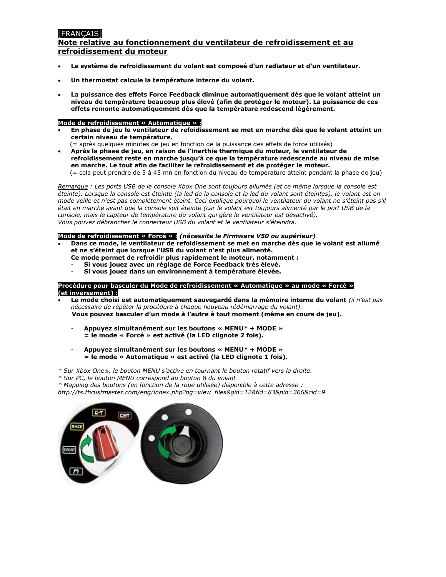# <span id="page-2-0"></span>**[FRANCAIS]**

## **Note relative au fonctionnement du ventilateur de refroidissement et au refroidissement du moteur**

- **Le système de refroidissement du volant est composé d'un radiateur et d'un ventilateur.**
- **Un thermostat calcule la température interne du volant.**
- **La puissance des effets Force Feedback diminue automatiquement dès que le volant atteint un niveau de température beaucoup plus élevé (afin de protéger le moteur). La puissance de ces effets remonte automatiquement dès que la température redescend légèrement.**

### **Mode de refroidissement « Automatique » :**

- **En phase de jeu le ventilateur de refoidissement se met en marche dès que le volant atteint un certain niveau de température.**
- (= après quelques minutes de jeu en fonction de la puissance des effets de force utilisés) • **Après la phase de jeu, en raison de l'inerthie thermique du moteur, le ventilateur de refroidissement reste en marche jusqu'à ce que la température redescende au niveau de mise en marche. Le tout afin de faciliter le refroidissement et de protéger le moteur.**

(= cela peut prendre de 5 à 45 mn en fonction du niveau de température atteint pendant la phase de jeu)

*Remarque : Les ports USB de la console Xbox One sont toujours allumés (et ce même lorsque la console est éteinte). Lorsque la console est éteinte (la led de la console et la led du volant sont éteintes), le volant est en mode veille et n'est pas complètement éteint. Ceci explique pourquoi le ventilateur du volant ne s'éteint pas s'il était en marche avant que la console soit éteinte (car le volant est toujours alimenté par le port USB de la console, mais le capteur de température du volant qui gère le ventilateur est désactivé). Vous pouvez débrancher le connecteur USB du volant et le ventilateur s'éteindra.* 

#### **Mode de refroidissement « Forcé » :** *(nécessite le Firmware V50 ou supérieur)*

- **Dans ce mode, le ventilateur de refoidissement se met en marche dès que le volant est allumé et ne s'éteint que lorsque l'USB du volant n'est plus alimenté.** 
	- **Ce mode permet de refroidir plus rapidement le moteur, notamment :**
	- **Si vous jouez avec un réglage de Force Feedback très élevé.**
	- **Si vous jouez dans un environnement à température élevée.**

#### **Procédure pour basculer du Mode de refroidissement « Automatique » au mode « Forcé » (et inversement) :**

- **Le mode choisi est automatiquement sauvegardé dans la mémoire interne du volant** *(il n'est pas nécessaire de répéter la procédure à chaque nouveau rédémarrage du volant).*  **Vous pouvez basculer d'un mode à l'autre à tout moment (même en cours de jeu).**
	- **Appuyez simultanément sur les boutons « MENU***\** **+ MODE » = le mode « Forcé » est activé (la LED clignote 2 fois).**
	- **Appuyez simultanément sur les boutons « MENU***\** **+ MODE » = le mode « Automatique » est activé (la LED clignote 1 fois).**
- *\* Sur Xbox One, le bouton MENU s'active en tournant le bouton rotatif vers la droite.*
- *\* Sur PC, le bouton MENU correspond au bouton 8 du volant*

*\* Mapping des boutons (en fonction de la roue utilisée) disponible à cette adresse : [http://ts.thrustmaster.com/eng/index.php?pg=view\\_files&gid=12&fid=83&pid=366&cid=9](http://ts.thrustmaster.com/eng/index.php?pg=view_files&gid=12&fid=83&pid=366&cid=9)*

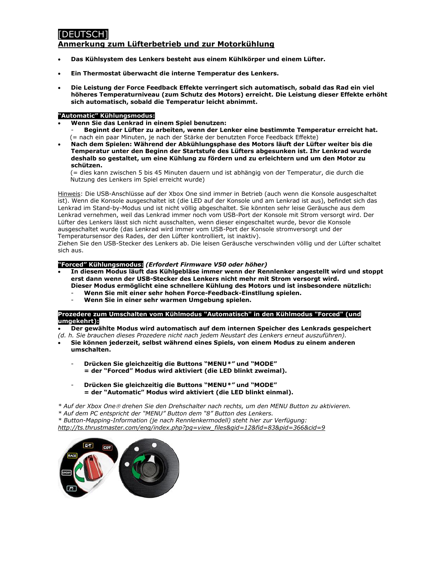# <span id="page-3-0"></span>DEUTSCH<sub>1</sub>

### **Anmerkung zum Lüfterbetrieb und zur Motorkühlung**

- **Das Kühlsystem des Lenkers besteht aus einem Kühlkörper und einem Lüfter.**
- **Ein Thermostat überwacht die interne Temperatur des Lenkers.**
- **Die Leistung der Force Feedback Effekte verringert sich automatisch, sobald das Rad ein viel höheres Temperaturniveau (zum Schutz des Motors) erreicht. Die Leistung dieser Effekte erhöht sich automatisch, sobald die Temperatur leicht abnimmt.**

### **"Automatic" Kühlungsmodus:**

- **Wenn Sie das Lenkrad in einem Spiel benutzen:**
	- **Beginnt der Lüfter zu arbeiten, wenn der Lenker eine bestimmte Temperatur erreicht hat.** (= nach ein paar Minuten, je nach der Stärke der benutzten Force Feedback Effekte)
- **Nach dem Spielen: Während der Abkühlungsphase des Motors läuft der Lüfter weiter bis die Temperatur unter den Beginn der Startstufe des Lüfters abgesunken ist. Ihr Lenkrad wurde deshalb so gestaltet, um eine Kühlung zu fördern und zu erleichtern und um den Motor zu schützen.**

(= dies kann zwischen 5 bis 45 Minuten dauern und ist abhängig von der Temperatur, die durch die Nutzung des Lenkers im Spiel erreicht wurde)

Hinweis: Die USB-Anschlüsse auf der Xbox One sind immer in Betrieb (auch wenn die Konsole ausgeschaltet ist). Wenn die Konsole ausgeschaltet ist (die LED auf der Konsole und am Lenkrad ist aus), befindet sich das Lenkrad im Stand-by-Modus und ist nicht völlig abgeschaltet. Sie könnten sehr leise Geräusche aus dem Lenkrad vernehmen, weil das Lenkrad immer noch vom USB-Port der Konsole mit Strom versorgt wird. Der Lüfter des Lenkers lässt sich nicht ausschalten, wenn dieser eingeschaltet wurde, bevor die Konsole ausgeschaltet wurde (das Lenkrad wird immer vom USB-Port der Konsole stromversorgt und der Temperatursensor des Rades, der den Lüfter kontrolliert, ist inaktiv).

Ziehen Sie den USB-Stecker des Lenkers ab. Die leisen Geräusche verschwinden völlig und der Lüfter schaltet sich aus.

#### **"Forced" Kühlungsmodus:** *(Erfordert Firmware V50 oder höher)*

- **In diesem Modus läuft das Kühlgebläse immer wenn der Rennlenker angestellt wird und stoppt erst dann wenn der USB-Stecker des Lenkers nicht mehr mit Strom versorgt wird.** 
	- **Dieser Modus ermöglicht eine schnellere Kühlung des Motors und ist insbesondere nützlich:**
	- **Wenn Sie mit einer sehr hohen Force-Feedback-Einstllung spielen.**
	- **Wenn Sie in einer sehr warmen Umgebung spielen.**

**Prozedere zum Umschalten vom Kühlmodus "Automatisch" in den Kühlmodus "Forced" (und umgekehrt):**

• **Der gewählte Modus wird automatisch auf dem internen Speicher des Lenkrads gespeichert** 

*(d. h. Sie brauchen dieses Prozedere nicht nach jedem Neustart des Lenkers erneut auszuführen).*

- **Sie können jederzeit, selbst während eines Spiels, von einem Modus zu einem anderen umschalten.**
	- **Drücken Sie gleichzeitig die Buttons "MENU***\*"* **und "MODE" = der "Forced" Modus wird aktiviert (die LED blinkt zweimal).**
	- **Drücken Sie gleichzeitig die Buttons "MENU***\*"* **und "MODE" = der "Automatic" Modus wird aktiviert (die LED blinkt einmal).**

*\* Auf der Xbox One drehen Sie den Drehschalter nach rechts, um den MENU Button zu aktivieren.*

*\* Auf dem PC entspricht der "MENU" Button dem "8" Button des Lenkers.*

*\* Button-Mapping-Information (je nach Rennlenkermodell) steht hier zur Verfügung: [http://ts.thrustmaster.com/eng/index.php?pg=view\\_files&gid=12&fid=83&pid=366&cid=9](http://ts.thrustmaster.com/eng/index.php?pg=view_files&gid=12&fid=83&pid=366&cid=9)*

<span id="page-3-1"></span>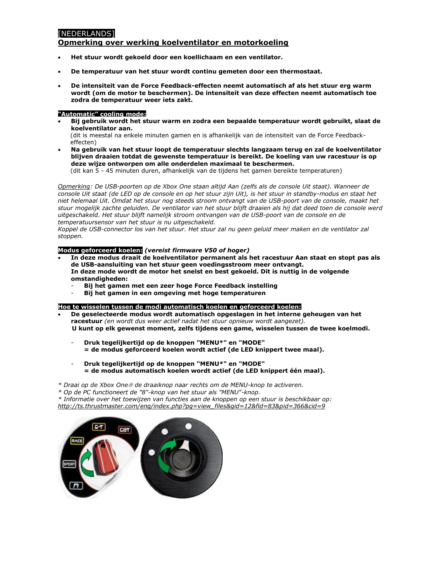# [NEDERLANDS]

### **Opmerking over werking koelventilator en motorkoeling**

- **Het stuur wordt gekoeld door een koellichaam en een ventilator.**
- **De temperatuur van het stuur wordt continu gemeten door een thermostaat.**
- **De intensiteit van de Force Feedback-effecten neemt automatisch af als het stuur erg warm wordt (om de motor te beschermen). De intensiteit van deze effecten neemt automatisch toe zodra de temperatuur weer iets zakt.**

### **"Automatic" cooling mode:**

• **Bij gebruik wordt het stuur warm en zodra een bepaalde temperatuur wordt gebruikt, slaat de koelventilator aan.**

(dit is meestal na enkele minuten gamen en is afhankelijk van de intensiteit van de Force Feedbackeffecten)

• **Na gebruik van het stuur loopt de temperatuur slechts langzaam terug en zal de koelventilator blijven draaien totdat de gewenste temperatuur is bereikt. De koeling van uw racestuur is op deze wijze ontworpen om alle onderdelen maximaal te beschermen.**

(dit kan 5 - 45 minuten duren, afhankelijk van de tijdens het gamen bereikte temperaturen)

*Opmerking: De USB-poorten op de Xbox One staan altijd Aan (zelfs als de console Uit staat). Wanneer de console Uit staat (de LED op de console en op het stuur zijn Uit), is het stuur in standby-modus en staat het niet helemaal Uit. Omdat het stuur nog steeds stroom ontvangt van de USB-poort van de console, maakt het stuur mogelijk zachte geluiden. De ventilator van het stuur blijft draaien als hij dat deed toen de console werd uitgeschakeld. Het stuur blijft namelijk stroom ontvangen van de USB-poort van de console en de temperatuursensor van het stuur is nu uitgeschakeld.*

*Koppel de USB-connector los van het stuur. Het stuur zal nu geen geluid meer maken en de ventilator zal stoppen.*

### **Modus geforceerd koelen:** *(vereist firmware V50 of hoger)*

- **In deze modus draait de koelventilator permanent als het racestuur Aan staat en stopt pas als de USB-aansluiting van het stuur geen voedingsstroom meer ontvangt. In deze mode wordt de motor het snelst en best gekoeld. Dit is nuttig in de volgende omstandigheden:**
	- **Bij het gamen met een zeer hoge Force Feedback instelling**
		- **Bij het gamen in een omgeving met hoge temperaturen**

#### **Hoe te wisselen tussen de modi automatisch koelen en geforceerd koelen:**

- **De geselecteerde modus wordt automatisch opgeslagen in het interne geheugen van het racestuur** *(en wordt dus weer actief nadat het stuur opnieuw wordt aangezet).*  **U kunt op elk gewenst moment, zelfs tijdens een game, wisselen tussen de twee koelmodi.**
	- **Druk tegelijkertijd op de knoppen "MENU\*" en "MODE" = de modus geforceerd koelen wordt actief (de LED knippert twee maal).**
	- **Druk tegelijkertijd op de knoppen "MENU\*" en "MODE" = de modus automatisch koelen wordt actief (de LED knippert één maal).**

*\* Draai op de Xbox One de draaiknop naar rechts om de MENU-knop te activeren.*

*\* Op de PC functioneert de "8"-knop van het stuur als "MENU"-knop.*

*\* Informatie over het toewijzen van functies aan de knoppen op een stuur is beschikbaar op: [http://ts.thrustmaster.com/eng/index.php?pg=view\\_files&gid=12&fid=83&pid=366&cid=9](http://ts.thrustmaster.com/eng/index.php?pg=view_files&gid=12&fid=83&pid=366&cid=9)*

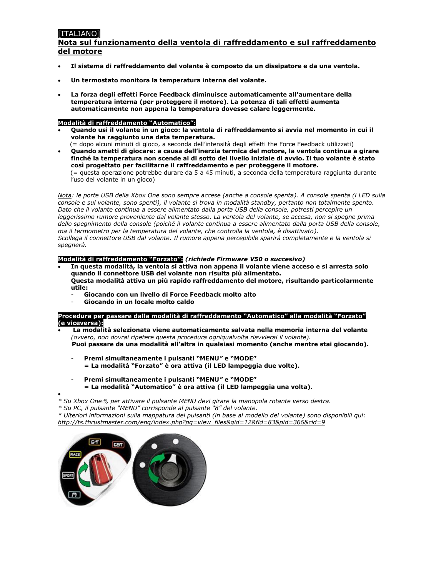# <span id="page-5-0"></span>[ITALIANO]

## **Nota sul funzionamento della ventola di raffreddamento e sul raffreddamento del motore**

- **Il sistema di raffreddamento del volante è composto da un dissipatore e da una ventola.**
- **Un termostato monitora la temperatura interna del volante.**
- **La forza degli effetti Force Feedback diminuisce automaticamente all'aumentare della temperatura interna (per proteggere il motore). La potenza di tali effetti aumenta automaticamente non appena la temperatura dovesse calare leggermente.**

### **Modalità di raffreddamento "Automatico":**

- **Quando usi il volante in un gioco: la ventola di raffreddamento si avvia nel momento in cui il volante ha raggiunto una data temperatura.**
- (= dopo alcuni minuti di gioco, a seconda dell'intensità degli effetti the Force Feedback utilizzati) • **Quando smetti di giocare: a causa dell'inerzia termica del motore, la ventola continua a girare finché la temperatura non scende al di sotto del livello iniziale di avvio. Il tuo volante è stato così progettato per facilitarne il raffreddamento e per proteggere il motore.** (= questa operazione potrebbe durare da 5 a 45 minuti, a seconda della temperatura raggiunta durante l'uso del volante in un gioco)

*Nota: le porte USB della Xbox One sono sempre accese (anche a console spenta). A console spenta (i LED sulla console e sul volante, sono spenti), il volante si trova in modalità standby, pertanto non totalmente spento. Dato che il volante continua a essere alimentato dalla porta USB della console, potresti percepire un leggerissimo rumore proveniente dal volante stesso. La ventola del volante, se accesa, non si spegne prima dello spegnimento della console (poiché il volante continua a essere alimentato dalla porta USB della console, ma il termometro per la temperatura del volante, che controlla la ventola, è disattivato). Scollega il connettore USB dal volante. Il rumore appena percepibile sparirà completamente e la ventola si spegnerà.*

### **Modalità di raffreddamento "Forzato":** *(richiede Firmware V50 o succesivo)*

- **In questa modalità, la ventola si attiva non appena il volante viene acceso e si arresta solo quando il connettore USB del volante non risulta più alimentato. Questa modalità attiva un più rapido raffreddamento del motore, risultando particolarmente utile:**
	- **Giocando con un livello di Force Feedback molto alto**
	- **Giocando in un locale molto caldo**

#### **Procedura per passare dalla modalità di raffreddamento "Automatico" alla modalità "Forzato" (e viceversa):**

- **La modalità selezionata viene automaticamente salvata nella memoria interna del volante**  *(ovvero, non dovrai ripetere questa procedura ogniqualvolta riavvierai il volante).*  **Puoi passare da una modalità all'altra in qualsiasi momento (anche mentre stai giocando).**
	- **Premi simultaneamente i pulsanti "MENU***"* **e "MODE" = La modalità "Forzato" è ora attiva (il LED lampeggia due volte).**
	- **Premi simultaneamente i pulsanti "MENU***"* **e "MODE" = La modalità "Automatico" è ora attiva (il LED lampeggia una volta).**

• *\* Su Xbox One, per attivare il pulsante MENU devi girare la manopola rotante verso destra.*

*\* Su PC, il pulsante "MENU" corrisponde al pulsante "8" del volante.*

*\* Ulteriori informazioni sulla mappatura dei pulsanti (in base al modello del volante) sono disponibili qui: [http://ts.thrustmaster.com/eng/index.php?pg=view\\_files&gid=12&fid=83&pid=366&cid=9](http://ts.thrustmaster.com/eng/index.php?pg=view_files&gid=12&fid=83&pid=366&cid=9)*

<span id="page-5-1"></span>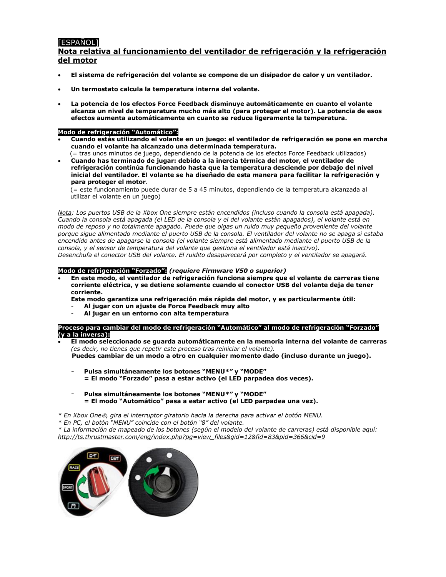# [ESPAÑOL]

# **Nota relativa al funcionamiento del ventilador de refrigeración y la refrigeración del motor**

- **El sistema de refrigeración del volante se compone de un disipador de calor y un ventilador.**
- **Un termostato calcula la temperatura interna del volante.**
- **La potencia de los efectos Force Feedback disminuye automáticamente en cuanto el volante alcanza un nivel de temperatura mucho más alto (para proteger el motor). La potencia de esos efectos aumenta automáticamente en cuanto se reduce ligeramente la temperatura.**

### **Modo de refrigeración "Automático":**

- **Cuando estás utilizando el volante en un juego: el ventilador de refrigeración se pone en marcha cuando el volante ha alcanzado una determinada temperatura.**
- (= tras unos minutos de juego, dependiendo de la potencia de los efectos Force Feedback utilizados) • **Cuando has terminado de jugar: debido a la inercia térmica del motor, el ventilador de refrigeración continúa funcionando hasta que la temperatura desciende por debajo del nivel inicial del ventilador. El volante se ha diseñado de esta manera para facilitar la refrigeración y para proteger el motor**.

(= este funcionamiento puede durar de 5 a 45 minutos, dependiendo de la temperatura alcanzada al utilizar el volante en un juego)

*Nota: Los puertos USB de la Xbox One siempre están encendidos (incluso cuando la consola está apagada). Cuando la consola está apagada (el LED de la consola y el del volante están apagados), el volante está en modo de reposo y no totalmente apagado. Puede que oigas un ruido muy pequeño proveniente del volante porque sigue alimentado mediante el puerto USB de la consola. El ventilador del volante no se apaga si estaba encendido antes de apagarse la consola (el volante siempre está alimentado mediante el puerto USB de la consola, y el sensor de temperatura del volante que gestiona el ventilador está inactivo). Desenchufa el conector USB del volante. El ruidito desaparecerá por completo y el ventilador se apagará.*

#### **Modo de refrigeración "Forzado":** *(requiere Firmware V50 o superior)*

• **En este modo, el ventilador de refrigeración funciona siempre que el volante de carreras tiene corriente eléctrica, y se detiene solamente cuando el conector USB del volante deja de tener corriente.**

**Este modo garantiza una refrigeración más rápida del motor, y es particularmente útil:**

- **Al jugar con un ajuste de Force Feedback muy alto**
- **Al jugar en un entorno con alta temperatura**

**Proceso para cambiar del modo de refrigeración "Automático" al modo de refrigeración "Forzado" (y a la inversa):**

- **El modo seleccionado se guarda automáticamente en la memoria interna del volante de carreras** *(es decir, no tienes que repetir este proceso tras reiniciar el volante).*
	- **Puedes cambiar de un modo a otro en cualquier momento dado (incluso durante un juego).**
	- **Pulsa simultáneamente los botones "MENU***\*"* **y "MODE" = El modo "Forzado" pasa a estar activo (el LED parpadea dos veces).**
	- **Pulsa simultáneamente los botones "MENU***\*"* **y "MODE" = El modo "Automático" pasa a estar activo (el LED parpadea una vez).**

*\* En Xbox One, gira el interruptor giratorio hacia la derecha para activar el botón MENU.*

*\* En PC, el botón "MENU" coincide con el botón "8" del volante.*

*\* La información de mapeado de los botones (según el modelo del volante de carreras) está disponible aquí: [http://ts.thrustmaster.com/eng/index.php?pg=view\\_files&gid=12&fid=83&pid=366&cid=9](http://ts.thrustmaster.com/eng/index.php?pg=view_files&gid=12&fid=83&pid=366&cid=9)*

<span id="page-6-0"></span>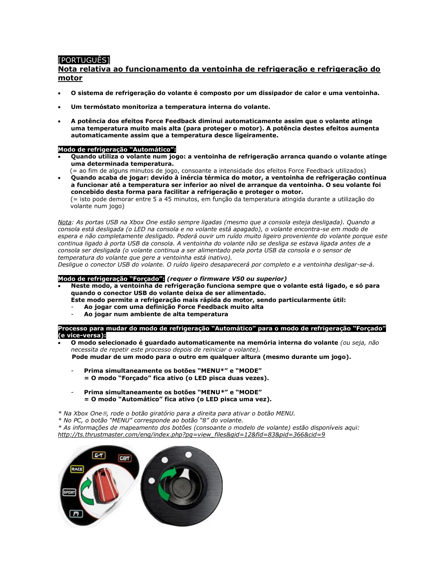# [PORTUGUÊS]

### **Nota relativa ao funcionamento da ventoinha de refrigeração e refrigeração do motor**

- **O sistema de refrigeração do volante é composto por um dissipador de calor e uma ventoinha.**
- **Um termóstato monitoriza a temperatura interna do volante.**
- **A potência dos efeitos Force Feedback diminui automaticamente assim que o volante atinge uma temperatura muito mais alta (para proteger o motor). A potência destes efeitos aumenta automaticamente assim que a temperatura desce ligeiramente.**

### **Modo de refrigeração "Automático":**

- **Quando utiliza o volante num jogo: a ventoinha de refrigeração arranca quando o volante atinge uma determinada temperatura.**
- (= ao fim de alguns minutos de jogo, consoante a intensidade dos efeitos Force Feedback utilizados) • **Quando acaba de jogar: devido à inércia térmica do motor, a ventoinha de refrigeração continua**

**a funcionar até a temperatura ser inferior ao nível de arranque da ventoinha. O seu volante foi concebido desta forma para facilitar a refrigeração e proteger o motor.** (= isto pode demorar entre 5 a 45 minutos, em função da temperatura atingida durante a utilização do volante num jogo)

*Nota: As portas USB na Xbox One estão sempre ligadas (mesmo que a consola esteja desligada). Quando a consola está desligada (o LED na consola e no volante está apagado), o volante encontra-se em modo de espera e não completamente desligado. Poderá ouvir um ruído muito ligeiro proveniente do volante porque este continua ligado à porta USB da consola. A ventoinha do volante não se desliga se estava ligada antes de a consola ser desligada (o volante continua a ser alimentado pela porta USB da consola e o sensor de temperatura do volante que gere a ventoinha está inativo).*

*Desligue o conector USB do volante. O ruído ligeiro desaparecerá por completo e a ventoinha desligar-se-á.*

#### **Modo de refrigeração "Forçado":** *(requer o firmware V50 ou superior)*

- **Neste modo, a ventoinha de refrigeração funciona sempre que o volante está ligado, e só para quando o conector USB do volante deixa de ser alimentado.** 
	- **Este modo permite a refrigeração mais rápida do motor, sendo particularmente útil:** - **Ao jogar com uma definição Force Feedback muito alta**
		- **Ao jogar num ambiente de alta temperatura**

#### **Processo para mudar do modo de refrigeração "Automático" para o modo de refrigeração "Forçado" (e vice-versa):**

- **O modo selecionado é guardado automaticamente na memória interna do volante** *(ou seja, não necessita de repetir este processo depois de reiniciar o volante).*  **Pode mudar de um modo para o outro em qualquer altura (mesmo durante um jogo).**
	- **Prima simultaneamente os botões "MENU\*" e "MODE" = O modo "Forçado" fica ativo (o LED pisca duas vezes).**
	- **Prima simultaneamente os botões "MENU***\****" e "MODE" = O modo "Automático" fica ativo (o LED pisca uma vez).**

*\* Na Xbox One, rode o botão giratório para a direita para ativar o botão MENU.*

*\* No PC, o botão "MENU" corresponde ao botão "8" do volante.*

- *\* As informações de mapeamento dos botões (consoante o modelo de volante) estão disponíveis aqui:*
- *http://ts.thrustmaster.com/eng/index.php?pg=view\_files&gid=12&fid=83&pid=366&cid=9*

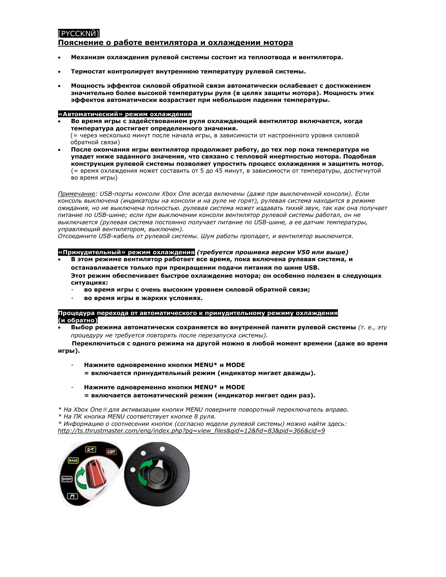# <span id="page-8-0"></span>**PYCCKNЙ1**

### **Пояснение о работе вентилятора и охлаждении мотора**

- **Механизм охлаждения рулевой системы состоит из теплоотвода и вентилятора.**
- **Термостат контролирует внутреннюю температуру рулевой системы.**
- **Мощность эффектов силовой обратной связи автоматически ослабевает с достижением значительно более высокой температуры руля (в целях защиты мотора). Мощность этих эффектов автоматически возрастает при небольшом падении температуры.**

#### **«Автоматический» режим охлаждения**

- **Во время игры с задействованием руля охлаждающий вентилятор включается, когда температура достигает определенного значения.** (= через несколько минут после начала игры, в зависимости от настроенного уровня силовой обратной связи)
- **После окончания игры вентилятор продолжает работу, до тех пор пока температура не упадет ниже заданного значения, что связано с тепловой инертностью мотора. Подобная конструкция рулевой системы позволяет упростить процесс охлаждения и защитить мотор.** (= время охлаждения может составить от 5 до 45 минут, в зависимости от температуры, достигнутой во время игры)

*Примечание: USB-порты консоли Xbox One всегда включены (даже при выключенной консоли). Если консоль выключена (индикаторы на консоли и на руле не горят), рулевая система находится в режиме ожидания, но не выключена полностью. рулевая система может издавать тихий звук, так как она получает питание по USB-шине; если при выключении консоли вентилятор рулевой системы работал, он не выключается (рулевая система постоянно получает питание по USB-шине, а ее датчик температуры, управляющий вентилятором, выключен).*

*Отсоедините USB-кабель от рулевой системы. Шум работы пропадет, и вентилятор выключится.*

#### **«Принудительный» режим охлаждения** *(требуется прошивка версии V50 или выше)*

- **В этом режиме вентилятор работает все время, пока включена рулевая система, и останавливается только при прекращении подачи питания по шине USB. Этот режим обеспечивает быстрое охлаждение мотора; он особенно полезен в следующих ситуациях:**
	- **во время игры с очень высоким уровнем силовой обратной связи;**
	- **во время игры в жарких условиях.**

**Процедура перехода от автоматического к принудительному режиму охлаждения (и обратно)**

• **Выбор режима автоматически сохраняется во внутренней памяти рулевой системы** *(т. е., эту процедуру не требуется повторять после перезапуска системы).*

 **Переключиться с одного режима на другой можно в любой момент времени (даже во время игры).**

- **Нажмите одновременно кнопки MENU\* и MODE** 
	- **= включается принудительный режим (индикатор мигает дважды).**
- **Нажмите одновременно кнопки MENU\* и MODE = включается автоматический режим (индикатор мигает один раз).**

*\* На Xbox One для активизации кнопки MENU поверните поворотный переключатель вправо.*

*\* На ПК кнопка MENU соответствует кнопке 8 руля.*

*\* Информацию о соотнесении кнопок (согласно модели рулевой системы) можно найти здесь: [http://ts.thrustmaster.com/eng/index.php?pg=view\\_files&gid=12&fid=83&pid=366&cid=9](http://ts.thrustmaster.com/eng/index.php?pg=view_files&gid=12&fid=83&pid=366&cid=9)*

<span id="page-8-1"></span>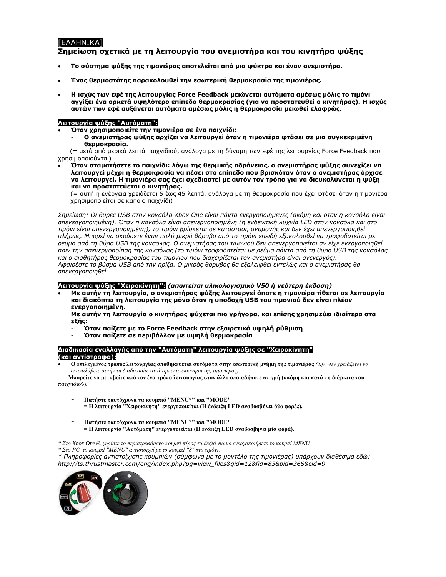# [ΕΛΛΗΝΙΚΑ] **Σημείωση σχετικά με τη λειτουργία του ανεμιστήρα και του κινητήρα ψύξης**

- **Το σύστημα ψύξης της τιμονιέρας αποτελείται από μια ψύκτρα και έναν ανεμιστήρα.**
- **Ένας θερμοστάτης παρακολουθεί την εσωτερική θερμοκρασία της τιμονιέρας.**
- **Η ισχύς των εφέ της λειτουργίας Force Feedback μειώνεται αυτόματα αμέσως μόλις το τιμόνι αγγίξει ένα αρκετά υψηλότερο επίπεδο θερμοκρασίας (για να προστατευθεί ο κινητήρας). Η ισχύς αυτών των εφέ αυξάνεται αυτόματα αμέσως μόλις η θερμοκρασία μειωθεί ελαφρώς.**

### **Λειτουργία ψύξης "Αυτόματη":**

- **Όταν χρησιμοποιείτε την τιμονιέρα σε ένα παιχνίδι:**
	- **Ο ανεμιστήρας ψύξης αρχίζει να λειτουργεί όταν η τιμονιέρα φτάσει σε μια συγκεκριμένη θερμοκρασία.**

(= μετά από μερικά λεπτά παιχνιδιού, ανάλογα με τη δύναμη των εφέ της λειτουργίας Force Feedback που χρησιμοποιούνται)

• **Όταν σταματήσετε το παιχνίδι: λόγω της θερμικής αδράνειας, ο ανεμιστήρας ψύξης συνεχίζει να λειτουργεί μέχρι η θερμοκρασία να πέσει στο επίπεδο που βρισκόταν όταν ο ανεμιστήρας άρχισε να λειτουργεί. Η τιμονιέρα σας έχει σχεδιαστεί με αυτόν τον τρόπο για να διευκολύνεται η ψύξη και να προστατεύεται ο κινητήρας.**

(= αυτή η ενέργεια χρειάζεται 5 έως 45 λεπτά, ανάλογα με τη θερμοκρασία που έχει φτάσει όταν η τιμονιέρα χρησιμοποιείται σε κάποιο παιχνίδι)

*Σημείωση: Οι θύρες USB στην κονσόλα Xbox One είναι πάντα ενεργοποιημένες (ακόμη και όταν η κονσόλα είναι απενεργοποιημένη). Όταν η κονσόλα είναι απενεργοποιημένη (η ενδεικτική λυχνία LED στην κονσόλα και στο τιμόνι είναι απενεργοποιημένη), το τιμόνι βρίσκεται σε κατάσταση αναμονής και δεν έχει απενεργοποιηθεί πλήρως. Μπορεί να ακούσετε έναν πολύ μικρό θόρυβο από το τιμόνι επειδή εξακολουθεί να τροφοδοτείται με ρεύμα από τη θύρα USB της κονσόλας. Ο ανεμιστήρας του τιμονιού δεν απενεργοποιείται αν είχε ενεργοποιηθεί πριν την απενεργοποίηση της κονσόλας (το τιμόνι τροφοδοτείται με ρεύμα πάντα από τη θύρα USB της κονσόλας και ο αισθητήρας θερμοκρασίας του τιμονιού που διαχειρίζεται τον ανεμιστήρα είναι ανενεργός). Αφαιρέστε το βύσμα USB από την πρίζα. Ο μικρός θόρυβος θα εξαλειφθεί εντελώς και ο ανεμιστήρας θα απενεργοποιηθεί.*

### **Λειτουργία ψύξης "Χειροκίνητη":** *(απαιτείται υλικολογισμικό V50 ή νεότερη έκδοση)*

• **Με αυτήν τη λειτουργία, ο ανεμιστήρας ψύξης λειτουργεί όποτε η τιμονιέρα τίθεται σε λειτουργία και διακόπτει τη λειτουργία της μόνο όταν η υποδοχή USB του τιμονιού δεν είναι πλέον ενεργοποιημένη.**

**Με αυτήν τη λειτουργία ο κινητήρας ψύχεται πιο γρήγορα, και επίσης χρησιμεύει ιδιαίτερα στα εξής:**

- **Όταν παίζετε με το Force Feedback στην εξαιρετικά υψηλή ρύθμιση**
- **Όταν παίζετε σε περιβάλλον με υψηλή θερμοκρασία**

**Διαδικασία εναλλαγής από την "Αυτόματη" λειτουργία ψύξης σε "Χειροκίνητη" (και αντίστροφα):**

• **Ο επιλεγμένος τρόπος λειτουργίας αποθηκεύεται αυτόματα στην εσωτερική μνήμη της τιμονιέρας** *(δηλ. δεν χρειάζεται να επαναλάβετε αυτήν τη διαδικασία κατά την επανεκκίνηση της τιμονιέρας).*

 **Μπορείτε να μεταβείτε από τον ένα τρόπο λειτουργίας στον άλλο οποιαδήποτε στιγμή (ακόμη και κατά τη διάρκεια του παιχνιδιού).**

- **Πατήστε ταυτόχρονα τα κουμπιά "MENU\*" και "MODE" = Η λειτουργία "Χειροκίνητη" ενεργοποιείται (Η ένδειξη LED αναβοσβήνει δύο φορές).**
- **Πατήστε ταυτόχρονα τα κουμπιά "MENU\*" και "MODE" = Η λειτουργία "Αυτόματη" ενεργοποιείται (Η ένδειξη LED αναβοσβήνει μία φορά).**

*\* Στο Xbox One, γυρίστε το περιστρεφόμενο κουμπί π[ρος τα δεξιά για να ενεργοποιήσετε το κουμπί MENU.*

*\* Στο PC, το κουμπί "MENU" αντιστοιχεί με το κουμπί "8" στο τιμόνι.*

*\* Πληροφορίες αντιστοίχισης κουμπιών (σύμφωνα με το μοντέλο της τιμονιέρας) υπάρχουν διαθέσιμα εδώ: [http://ts.thrustmaster.com/eng/index.php?pg=view\\_files&gid=12&fid=83&pid=366&cid=9](http://ts.thrustmaster.com/eng/index.php?pg=view_files&gid=12&fid=83&pid=366&cid=9)*

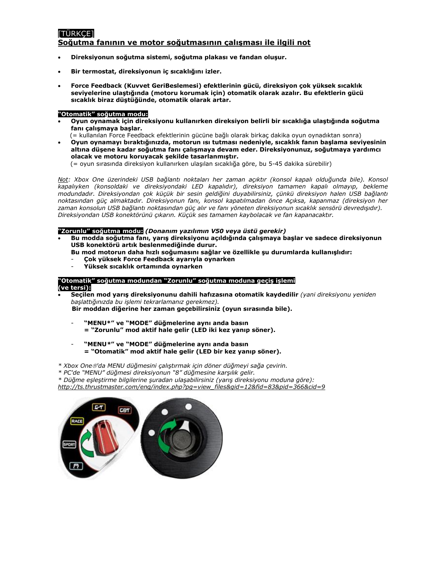# <span id="page-10-0"></span>[TÜRKÇE]

### **Soğutma fanının ve motor soğutmasının çalışması ile ilgili not**

- **Direksiyonun soğutma sistemi, soğutma plakası ve fandan oluşur.**
- **Bir termostat, direksiyonun iç sıcaklığını izler.**
- **Force Feedback (Kuvvet GeriBeslemesi) efektlerinin gücü, direksiyon çok yüksek sıcaklık seviyelerine ulaştığında (motoru korumak için) otomatik olarak azalır. Bu efektlerin gücü sıcaklık biraz düştüğünde, otomatik olarak artar.**

### **"Otomatik" soğutma modu:**

• **Oyun oynamak için direksiyonu kullanırken direksiyon belirli bir sıcaklığa ulaştığında soğutma fanı çalışmaya başlar.**

(= kullanılan Force Feedback efektlerinin gücüne bağlı olarak birkaç dakika oyun oynadıktan sonra)

• **Oyun oynamayı bıraktığınızda, motorun ısı tutması nedeniyle, sıcaklık fanın başlama seviyesinin altına düşene kadar soğutma fanı çalışmaya devam eder. Direksiyonunuz, soğutmaya yardımcı olacak ve motoru koruyacak şekilde tasarlanmıştır.**

(= oyun sırasında direksiyon kullanırken ulaşılan sıcaklığa göre, bu 5-45 dakika sürebilir)

*Not: Xbox One üzerindeki USB bağlantı noktaları her zaman açıktır (konsol kapalı olduğunda bile). Konsol kapalıyken (konsoldaki ve direksiyondaki LED kapalıdır), direksiyon tamamen kapalı olmayıp, bekleme modundadır. Direksiyondan çok küçük bir sesin geldiğini duyabilirsiniz, çünkü direksiyon halen USB bağlantı noktasından güç almaktadır. Direksiyonun fanı, konsol kapatılmadan önce Açıksa, kapanmaz (direksiyon her zaman konsolun USB bağlantı noktasından güç alır ve fanı yöneten direksiyonun sıcaklık sensörü devredışıdır). Direksiyondan USB konektörünü çıkarın. Küçük ses tamamen kaybolacak ve fan kapanacaktır.*

### **"Zorunlu" soğutma modu:** *(Donanım yazılımın V50 veya üstü gerekir)*

- **Bu modda soğutma fanı, yarış direksiyonu açıldığında çalışmaya başlar ve sadece direksiyonun USB konektörü artık beslenmediğinde durur.** 
	- **Bu mod motorun daha hızlı soğumasını sağlar ve özellikle şu durumlarda kullanışlıdır:**
	- **Çok yüksek Force Feedback ayarıyla oynarken**
	- **Yüksek sıcaklık ortamında oynarken**

# **"Otomatik" soğutma modundan "Zorunlu" soğutma moduna geçiş işlemi**

### **(ve tersi):**

• **Seçilen mod yarış direksiyonunu dahili hafızasına otomatik kaydedilir** *(yani direksiyonu yeniden başlattığınızda bu işlemi tekrarlamanız gerekmez).*

 **Bir moddan diğerine her zaman geçebilirsiniz (oyun sırasında bile).**

- **"MENU\*" ve "MODE" düğmelerine aynı anda basın = "Zorunlu" mod aktif hale gelir (LED iki kez yanıp söner).**
- **"MENU***\****" ve "MODE" düğmelerine aynı anda basın = "Otomatik" mod aktif hale gelir (LED bir kez yanıp söner).**
- *\* Xbox One'da MENU düğmesini çalıştırmak için döner düğmeyi sağa çevirin.*

*\* PC'de "MENU" düğmesi direksiyonun "8" düğmesine karşılık gelir.*

*\* Düğme eşleştirme bilgilerine şuradan ulaşabilirsiniz (yarış direksiyonu moduna göre):* 

*[http://ts.thrustmaster.com/eng/index.php?pg=view\\_files&gid=12&fid=83&pid=366&cid=9](http://ts.thrustmaster.com/eng/index.php?pg=view_files&gid=12&fid=83&pid=366&cid=9)*

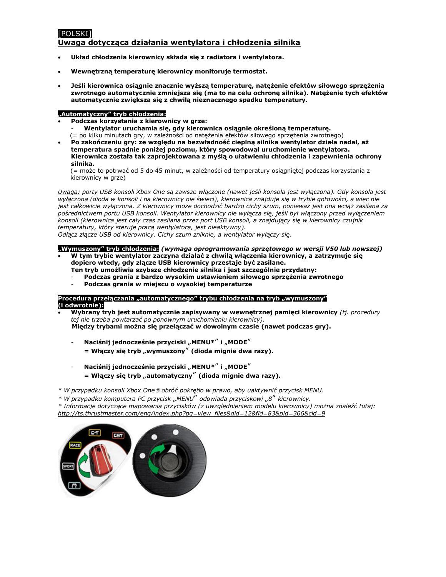# <span id="page-11-0"></span>[POLSKI]

### **Uwaga dotycząca działania wentylatora i chłodzenia silnika**

- **Układ chłodzenia kierownicy składa się z radiatora i wentylatora.**
- **Wewnętrzną temperaturę kierownicy monitoruje termostat.**
- **Jeśli kierownica osiągnie znacznie wyższą temperaturę, natężenie efektów siłowego sprzężenia zwrotnego automatycznie zmniejsza się (ma to na celu ochronę silnika). Natężenie tych efektów automatycznie zwiększa się z chwilą nieznacznego spadku temperatury.**

### **"Automatyczny" tryb chłodzenia:**

- **Podczas korzystania z kierownicy w grze:**
	- **Wentylator uruchamia się, gdy kierownica osiągnie określoną temperaturę.** (= po kilku minutach gry, w zależności od natężenia efektów siłowego sprzężenia zwrotnego)
- **Po zakończeniu gry: ze względu na bezwładność cieplną silnika wentylator działa nadal, aż temperatura spadnie poniżej poziomu, który spowodował uruchomienie wentylatora. Kierownica została tak zaprojektowana z myślą o ułatwieniu chłodzenia i zapewnienia ochrony silnika.**

(= może to potrwać od 5 do 45 minut, w zależności od temperatury osiągniętej podczas korzystania z kierownicy w grze)

*Uwaga: porty USB konsoli Xbox One są zawsze włączone (nawet jeśli konsola jest wyłączona). Gdy konsola jest wyłączona (dioda w konsoli i na kierownicy nie świeci), kierownica znajduje się w trybie gotowości, a więc nie jest całkowicie wyłączona. Z kierownicy może dochodzić bardzo cichy szum, ponieważ jest ona wciąż zasilana za pośrednictwem portu USB konsoli. Wentylator kierownicy nie wyłącza się, jeśli był włączony przed wyłączeniem konsoli (kierownica jest cały czas zasilana przez port USB konsoli, a znajdujący się w kierownicy czujnik temperatury, który steruje pracą wentylatora, jest nieaktywny).*

*Odłącz złącze USB od kierownicy. Cichy szum zniknie, a wentylator wyłączy się.*

### **"Wymuszony" tryb chłodzenia:** *(wymaga oprogramowania sprzętowego w wersji V50 lub nowszej)*

- **W tym trybie wentylator zaczyna działać z chwilą włączenia kierownicy, a zatrzymuje się dopiero wtedy, gdy złącze USB kierownicy przestaje być zasilane.** 
	- **Ten tryb umożliwia szybsze chłodzenie silnika i jest szczególnie przydatny:**
	- **Podczas grania z bardzo wysokim ustawieniem siłowego sprzężenia zwrotnego**
	- **Podczas grania w miejscu o wysokiej temperaturze**

### **Procedura przełączania "automatycznego" trybu chłodzenia na tryb "wymuszony" (i odwrotnie):**

• **Wybrany tryb jest automatycznie zapisywany w wewnętrznej pamięci kierownicy** *(tj. procedury tej nie trzeba powtarzać po ponownym uruchomieniu kierownicy).*  **Między trybami można się przełączać w dowolnym czasie (nawet podczas gry).**

- **Naciśnij jednocześnie przyciski** "**MENU\***" **i** "**MODE**"

 $=$  Włączy się tryb "wymuszony" (dioda mignie dwa razy).

 $N$ aciśnij jednocześnie przyciski "MENU<sup>\*"</sup> i "MODE"  $=$  Włączy się tryb "automatyczny" (dioda mignie dwa razy).

*\* W przypadku konsoli Xbox One obróć pokrętło w prawo, aby uaktywnić przycisk MENU.*

*\* W przypadku komputera PC przycisk* "*MENU*" *odowiada przyciskowi* "*8*" *kierownicy.*

*\* Informacje dotyczące mapowania przycisków (z uwzględnieniem modelu kierownicy) można znaleźć tutaj: [http://ts.thrustmaster.com/eng/index.php?pg=view\\_files&gid=12&fid=83&pid=366&cid=9](http://ts.thrustmaster.com/eng/index.php?pg=view_files&gid=12&fid=83&pid=366&cid=9)*

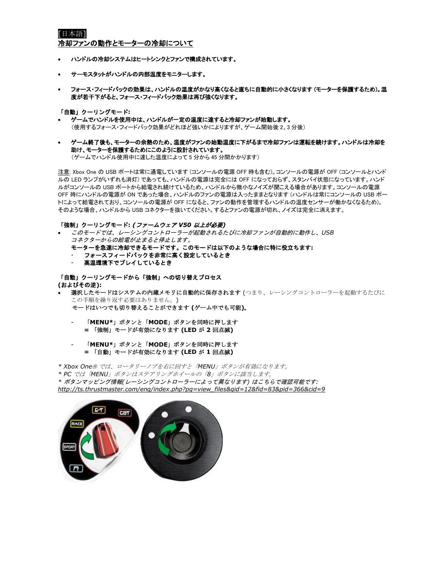## <span id="page-12-0"></span>[日本語] 冷却ファンの動作とモーターの冷却について

- ハンドルの冷却システムはヒートシンクとファンで構成されています。
- サーモスタットがハンドルの内部温度をモニターします。
- フォース・フィードバックの効果は、ハンドルの温度がかなり高くなると直ちに自動的に小さくなります (モーターを保護するため)。温 度が若干下がると、フォース・フィードバック効果は再び強くなります。

#### 「自動」クーリングモード**:**

- ゲームでハンドルを使用中は、ハンドルが一定の温度に達すると冷却ファンが始動します。 (使用するフォース・フィードバック効果がどれほど強いかによりますが、ゲーム開始後 2、3 分後)
- ゲーム終了後も、モーターの余熱のため、温度がファンの始動温度に下がるまで冷却ファンは運転を続けます。ハンドルは冷却を 助け、モーターを保護するためにこのように設計されています。 (ゲームでハンドル使用中に達した温度によって 5 分から 45 分間かかります)

注意: Xbox One の USB ポートは常に通電しています (コンソールの電源 OFF 時も含む)。コンソールの電源が OFF (コンソールとハンド ルの LED ランプがいずれも消灯) であっても、ハンドルの電源は完全には OFF になっておらず、スタンバイ状態になっています。ハンド ルがコンソールの USB ポートから給電され続けているため、ハンドルから微小なノイズが聞こえる場合があります。コンソールの電源 OFF 時にハンドルの電源が ON であった場合、ハンドルのファンの電源は入ったままとなります (ハンドルは常にコンソールの USB ポー トによって給電されており、コンソールの電源が OFF になると、ファンの動作を管理するハンドルの温度センサーが働かなくなるため)。 そのような場合、ハンドルから USB コネクターを抜いてください。するとファンの電源が切れ、ノイズは完全に消えます。

### 「強制」クーリングモード**:** *(*ファームウェア *V50* 以上が必要*)*

- このモードでは、レーシングコントローラーが起動されるたびに冷却ファンが自動的に動作し、*USB*  コネクターからの給電が止まると停止します。
	- モーターを急速に冷却できるモードです。このモードは以下のような場合に特に役立ちます**:**
	- フォースフィードバックを非常に高く設定しているとき
	- 高温環境下でプレイしているとき

# 「自動」クーリングモードから「強制」への切り替えプロセス

**(**およびその逆**):**

- 選択したモードはシステムの内蔵メモリに自動的に保存されます (つまり、レーシングコントローラーを起動するたびに この手順を繰り返す必要はありません。)
	- モードはいつでも切り替えることができます **(**ゲーム中でも可能**)**。
		- 「**MENU\***」ボタンと「**MODE**」ボタンを同時に押します **=** 「強制」モードが有効になります **(LED** が **2** 回点滅**)**

### - 「**MENU\***」ボタンと「**MODE**」ボタンを同時に押します **=** 「自動」モードが有効になります **(LED** が **1** 回点滅**)**

*\* Xbox One* では、ロータリーノブを右に回すと「*MENU*」ボタンが有効になります。

*\* PC* では「*MENU*」ボタンはステアリングホイールの「*8*」ボタンに該当します。

*\** ボタンマッピング情報*(*レーシングコントローラーによって異なります*)* はこちらで確認可能です*: [http://ts.thrustmaster.com/eng/index.php?pg=view\\_files&gid=12&fid=83&pid=366&cid=9](http://ts.thrustmaster.com/eng/index.php?pg=view_files&gid=12&fid=83&pid=366&cid=9)*

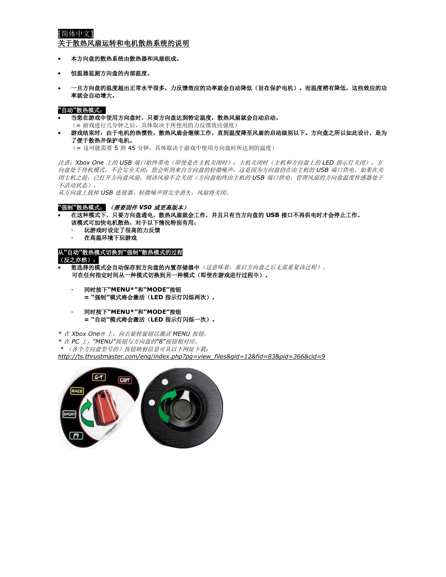# <span id="page-13-0"></span>[简体中文]

关于散热风扇运转和电机散热系统的说明

- 本方向盘的散热系统由散热器和风扇组成。
- 恒温器监测方向盘的内部温度。
- 一旦方向盘的温度超出正常水平很多,力反馈效应的功率就会自动降低(旨在保护电机)。而温度稍有降低,这些效应的功 率就会自动增大。

**"**自动**"**散热模式:

- 当您在游戏中使用方向盘时,只要方向盘达到特定温度,散热风扇就会自动启动。
	- (= 游戏进行几分钟之后,具体取决于所使用的力反馈效应强度)
- 游戏结束时:由于电机的热惯性,散热风扇会继续工作,直到温度降至风扇的启动级别以下。方向盘之所以如此设计,是为 了便于散热并保护电机。

(= 这可能需要 5 到 45 分钟,具体取决于游戏中使用方向盘时所达到的温度)

注意:*Xbox One* 上的 *USB* 端口始终带电(即使是在主机关闭时):主机关闭时(主机和方向盘上的 *LED* 指示灯关闭),方 向盘处于待机模式,不会完全关闭:您会听到来自方向盘的轻微噪声,这是因为方向盘仍在由主机的 *USB* 端口供电。如果在关 闭主机之前,已打开方向盘风扇,则该风扇不会关闭(方向盘始终由主机的 *USB* 端口供电,管理风扇的方向盘温度传感器处于 不活动状态)。

从方向盘上拔掉 *USB* 连接器。轻微噪声将完全消失,风扇将关闭。

### **"**强制**"**散热模式: (需要固件 *V50* 或更高版本)

- 在这种模式下,只要方向盘通电,散热风扇就会工作,并且只有当方向盘的 **USB** 接口不再供电时才会停止工作。 该模式可加快电机散热,对于以下情况特别有用:
	- 玩游戏时设定了很高的力反馈
	- 在高温环境下玩游戏

从**"**自动**"**散热模式切换到**"**强制**"**散热模式的过程 (反之亦然):

- 您选择的模式会自动保存到方向盘的内置存储器中(这意味者,重启方向盘之后无需重复该过程)。 可在任何指定时间从一种模式切换到另一种模式(即使在游戏进行过程中)。
	- 同时按下**"MENU\*"**和**"MODE"**按钮 **= "**强制**"**模式将会激活(**LED** 指示灯闪烁两次)。
	- 同时按下**"MENU\*"**和**"MODE"**按钮 **= "**自动**"**模式将会激活(**LED** 指示灯闪烁一次)。
- *\** 在 *Xbox One* 上,向右旋转旋钮以激活 *MENU* 按钮。
- *\** 在 *PC* 上,*"MENU"*按钮与方向盘的*"8"*按钮相对应。
- *\** (各个方向盘型号的)按钮映射信息可从以下网址下载:

*[http://ts.thrustmaster.com/eng/index.php?pg=view\\_files&gid=12&fid=83&pid=366&cid=9](http://ts.thrustmaster.com/eng/index.php?pg=view_files&gid=12&fid=83&pid=366&cid=9)*